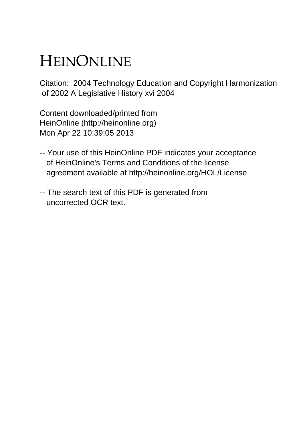# HEINONLINE

Citation: 2004 Technology Education and Copyright Harmonization of 2002 A Legislative History xvi 2004

Content downloaded/printed from HeinOnline (http://heinonline.org) Mon Apr 22 10:39:05 2013

- -- Your use of this HeinOnline PDF indicates your acceptance of HeinOnline's Terms and Conditions of the license agreement available at http://heinonline.org/HOL/License
- -- The search text of this PDF is generated from uncorrected OCR text.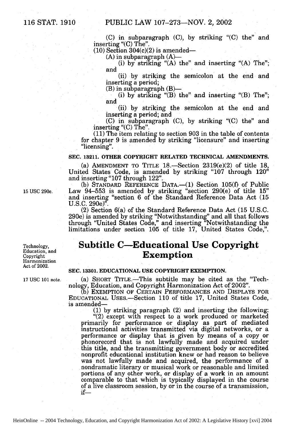### PUBLIC LAW 107-273-NOV. 2, 2002

(C) in subparagraph (C), by striking "(C) the" and inserting "(C) The".

 $(10)$  Section 304 $(c)(2)$  is amended-

(A) in subparagraph (A)-

(i) by striking "(A) the" and inserting "(A) The"; and

(ii) by striking the semicolon at the end and inserting a period;

(B) in subparagraph (B)-

(i) by striking "(B) the" and inserting "(B) The"; and

(ii) by striking the semicolon at the end and inserting a period; and

(C) in subparagraph (C), by striking "(C) the" and inserting "(C) The".

(11) The item relating to section 903 in the table of contents for chapter 9 is amended by striking "licensure" and inserting "licensing".

#### **SEC. 13211.** OTHER COPYRIGHT RELATED **TECHNICAL AMENDMENTS.**

(a) **AMENDMENT** TO TITLE 18.-Section 2319(e)(2) of title **18,** United States Code, is amended **by** striking **"107** through 120" and inserting **"107** through 122".

**(b) STANDARD** REFERENCE **DATA.-(1)** Section **105(f)** of Public **15 USC** 290e. Law **94-553** is amended **by** striking "section 290(e) of title **15"** and inserting "section **6** of the Standard Reference Data Act **(15 U.S.C.** 290e)".

> (2) Section 6(a) of the Standard Reference Data Act **(15 U.S.C.** 290e) is amended **by** striking "Notwithstanding" and all that follows through "United States Code," and inserting "Notwithstanding the limitations under section **105 of** title **17,** United States Code,".

Technology, Education, and Copyright Harmonization Act of 2002.

17 USC **101** note.

**Subtitle C-Educational Use Copyright Exemption**

### **SEC. 13301. EDUCATIONAL USE** COPYRIGHT EXEMPTION.

(a) SHORT TITLE.-This subtitle may be cited as the "Technology, Education, and Copyright Harmonization Act of 2002".

(b) EXEMPTION OF CERTAIN PERFORMANCES AND DISPLAYS FOR EDUCATIONAL USEs.-Section 110 of title 17, United States Code,

**(1)** by striking paragraph (2) and inserting the following:

"(2) except with respect to a work produced or marketed primarily for performance or display as part of mediated instructional activities transmitted via digital networks, or a performance or display that is given by means of a copy or phonorecord that is not lawfully made and acquired under this title, and the transmitting government body or accredited nonprofit educational institution knew or had reason to believe was not lawfully made and acquired, the performance of a nondramatic literary or musical work or reasonable and limited portions of any other work, or display of a work in an amount comparable to that which is typically displayed in the course of a live classroom session, by or in the course of a transmission, if-

is amended-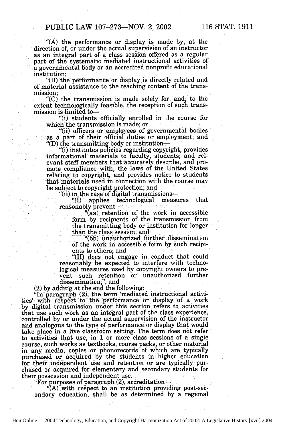"(A) the performance or display is made by, at the direction of, or under the actual supervision of an instructor as an integral part of a class session offered as a regular part of the systematic mediated instructional activities of a governmental body or an accredited nonprofit educational institution;

"(B) the performance or display is directly related and of material assistance to the teaching content of the transmission;

"(C) the transmission is made solely for, and, to the extent technologically feasible, the reception of such transmission is limited to-

"(i) students officially enrolled in the course for which the transmission is made; or

"(ii) officers or employees of governmental bodies as a part of their official duties or employment; and "(D) the transmitting body or institution-

"() institutes policies regarding copyright, provides informational materials to faculty, students, and relevant staff members that accurately describe, and promote compliance with, the laws of the United States relating to copyright, and provides notice to students that materials used in connection with the course may be subject to copyright protection; and<br>"(ii) in the case of digital transmissions-

"(I) applies technological measures that reasonably prevent-

"(aa) retention of the work in accessible form by recipients of the transmission from the transmitting body or institution for longer than the class session; and

"(bb) unauthorized further dissemination of the work in accessible form by such recipients to others; and

"(II) does not engage in conduct that could reasonably be expected to interfere with technological measures used by copyright owners to prevent such retention or unauthorized further dissemination;"; and

(2) by adding at the end the following:

"In paragraph (2), the term 'mediated instructional activities' with respect to the performance or display of a work by digital transmission under this section refers to activities that use such work as an integral part of the class experience, controlled by or under the actual supervision of the instructor and analogous to the type of performance or display that would take place in a live classroom setting. The term does not refer to activities that use, in 1 or more class sessions of a single course, such works as textbooks, course packs, or other material in any media, copies or phonorecords of which are typically purchased or acquired by the students in higher education for their independent use and retention or are typically purchased or acquired for elementary and secondary students for their possession and independent use.

"For purposes of paragraph (2), accreditation-

"(A) with respect to an institution providing post-secondary education, shall be as determined by a regional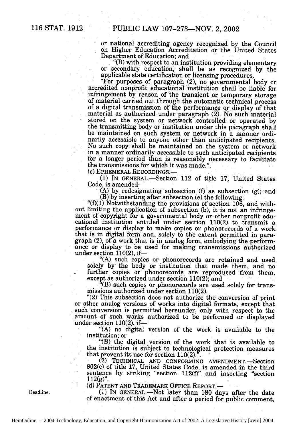or national accrediting agency recognized by the Council on Higher Education Accreditation or the United States Department of Education; and

"(B) with respect to an institution providing elementary or secondary education, shall be as recognized by the applicable state certification or licensing procedures.

"For purposes of paragraph (2), no governmental body or accredited nonprofit educational institution shall be liable for infringement by reason of the transient or temporary storage of material carried out through the automatic technical process of a digital transmission of the performance or display of that material as authorized under paragraph (2). No such material stored on the system or network controlled or operated by the transmitting body or institution under this paragraph shall be maintained on such system or network in a manner ordinarily accessible to anyone other than anticipated recipients. No such copy shall be maintained on the system or network in a manner ordinarily accessible to such anticipated recipients for a longer period than is reasonably necessary to facilitate the transmissions for which it was made.".

(C) EPHEMERAL RECORDINGS.-

(1) IN GENERAL.-Section 112 of title 17, United States Code, is amended-

(A) by redesignating subsection **(f)** as subsection (g); and

" $(f)(1)$  Notwithstanding the provisions of section 106, and without limiting the application of subsection (b), it is not an infringe- ment of copyright for a governmental body or other nonprofit educational institution entitled under section 110(2) to transmit a performance or display to make copies or phonorecords of a work that is in digital form and, solely to the extent permitted in para- graph (2), of a work that is in analog form, embodying the performance or display to be used for making transmissions authorized under section  $110(2)$ , if-

"(A) such copies or phonorecords are retained and used solely by the body or institution that made them, and no further copies or phonorecords are reproduced from them, except as authorized under section 110(2); and

"(B) such copies or phonorecords are used solely for transmissions authorized under section 110(2). "(2) This subsection does not authorize the conversion of print

or other analog versions of works into digital formats, except that such conversion is permitted hereunder, only with respect to the amount of such works authorized to be performed or displayed under section  $110(2)$ , if—

"(A) no digital version of the work is available to the institution; or

"(B) the digital version of the work that is available to the institution is subject to technological protection measures that prevent its use for section  $110(2)$ .

(2) TECHNICAL AND CONFORMING AMENDMENT.-Section 802(c) of title 17, United States Code, is amended in the third sentence by striking "section 112(f)" and inserting "section  $112(g)$ ".

**(d)** PATENT AND TRADEMARK OFFICE REPORT.-

Deadline. (1) IN GENERAL.—Not later than 180 days after the date of enactment of this Act and after a period for public comment,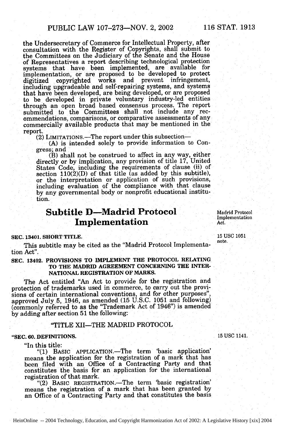the Undersecretary of Commerce for Intellectual Property, after consultation with the Register of Copyrights, shall submit to the Committees on the Judiciary of the Senate and the House of Representatives a report describing technological protection systems that have been implemented, are available for implementation, or are proposed to be developed to protect digitized copyrighted works and prevent infringement, including upgradeable and self-repairing systems, and systems that have been developed, are being developed, or are proposed to be developed in private voluntary industry-led entities through an open broad based consensus process. The report submitted to the Committees shall not include any recommendations, comparisons, or comparative assessments of any commercially available products that may be mentioned in the report.

(2) LIMITATIONS.—The report under this subsection—

(A) is intended solely to provide information to Congress; and

(B) shall not be construed to affect in any way, either directly or by implication, any provision of title 17, United States Code, including the requirements of clause (ii) of section 110(2)(D) of that title (as added by this subtitle), or the interpretation or application of such provisions, including evaluation of the compliance with that clause by any governmental body or nonprofit educational institution.

### Subtitle D-Madrid Protocol Madrid Protocol **Implementation**

### **SEC. 13401. SHORT TITLE.** 15 USC 1051

**This subtitle may** be cited as the "Madrid Protocol Implementa- **note. tion Act".**

### **SEC. 13402. PROVISIONS TO IMPLEMENT THE PROTOCOL RELATING TO THE MADRID AGREEMENT CONCERNING THE INTER-NATIONAL REGISTRATION OF MARKS.**

The Act entitled **"An Act to provide for the** registration **and** protection of trademarks used in commerce, to carry out the provisions of certain international conventions, and for other purposes", approved July **5,** 1946, as amended **(15 U.S.C. 1051** and following) (commonly referred to as the "Trademark Act of 1946") is amended **by** adding after section **51** the following:

#### "TITLE XII-THE MADRID PROTOCOL

### **"SEC. 60. DEFINITIONS. 15 USC** 1141.

"In this title:

**"(1)** BASIC APPLICATION.-The term 'basic application' means the application for the registration of a mark that has been filed with an Office of a Contracting Party and that constitutes the basis for an application for the international registration of that mark.

"(2) BASIC REGISTRATION.-The term 'basic registration' means the registration of a mark that has been granted **by** an Office of a Contracting Party and that constitutes the basis

Implementation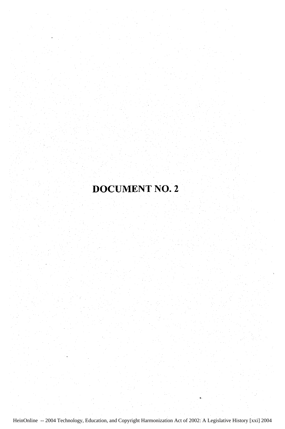## DOCUMENT NO. 2